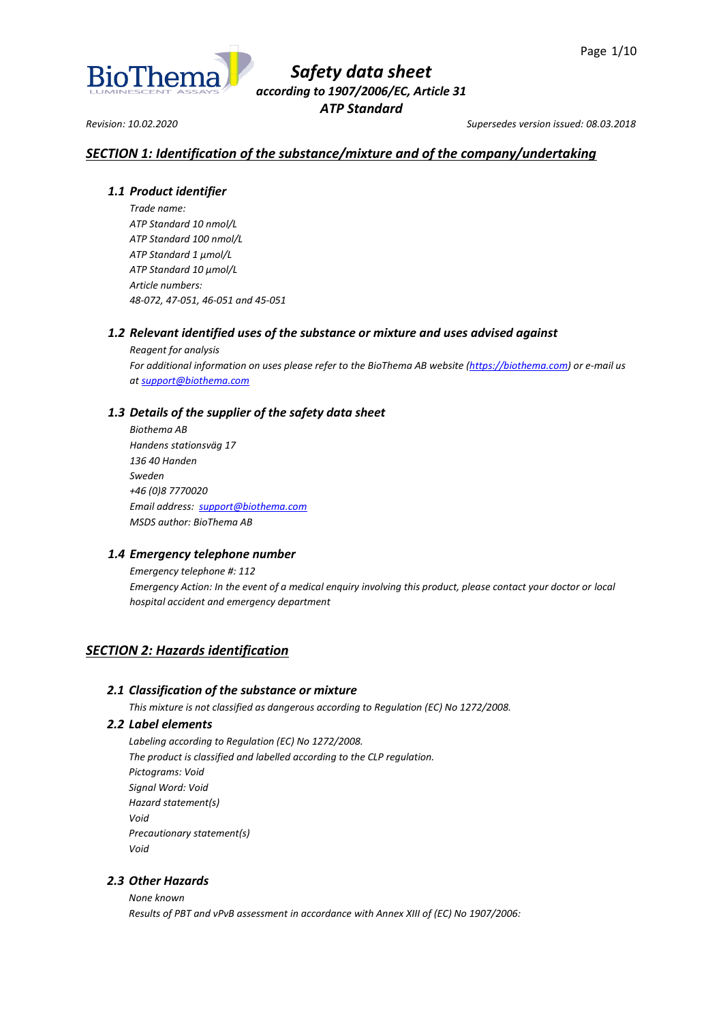

*Revision: 10.02.2020 Supersedes version issued: 08.03.2018*

## *SECTION 1: Identification of the substance/mixture and of the company/undertaking*

## *1.1 Product identifier*

*Trade name: ATP Standard 10 nmol/L ATP Standard 100 nmol/L ATP Standard 1 µmol/L ATP Standard 10 µmol/L Article numbers: 48-072, 47-051, 46-051 and 45-051*

## *1.2 Relevant identified uses of the substance or mixture and uses advised against*

*Reagent for analysis For additional information on uses please refer to the BioThema AB website [\(https://biothema.com\)](https://biothema.com/) or e-mail us a[t support@biothema.com](mailto:support@biothema.com)*

## *1.3 Details of the supplier of the safety data sheet*

*Biothema AB Handens stationsväg 17 136 40 Handen Sweden +46 (0)8 7770020 Email address: [support@biothema.com](mailto:support@biothema.com) MSDS author: BioThema AB*

## *1.4 Emergency telephone number*

*Emergency telephone #: 112 Emergency Action: In the event of a medical enquiry involving this product, please contact your doctor or local hospital accident and emergency department*

## *SECTION 2: Hazards identification*

## *2.1 Classification of the substance or mixture*

*This mixture is not classified as dangerous according to Regulation (EC) No 1272/2008.*

## *2.2 Label elements*

*Labeling according to Regulation (EC) No 1272/2008. The product is classified and labelled according to the CLP regulation. Pictograms: Void Signal Word: Void Hazard statement(s) Void Precautionary statement(s) Void*

## *2.3 Other Hazards*

*None known Results of PBT and vPvB assessment in accordance with Annex XIII of (EC) No 1907/2006:*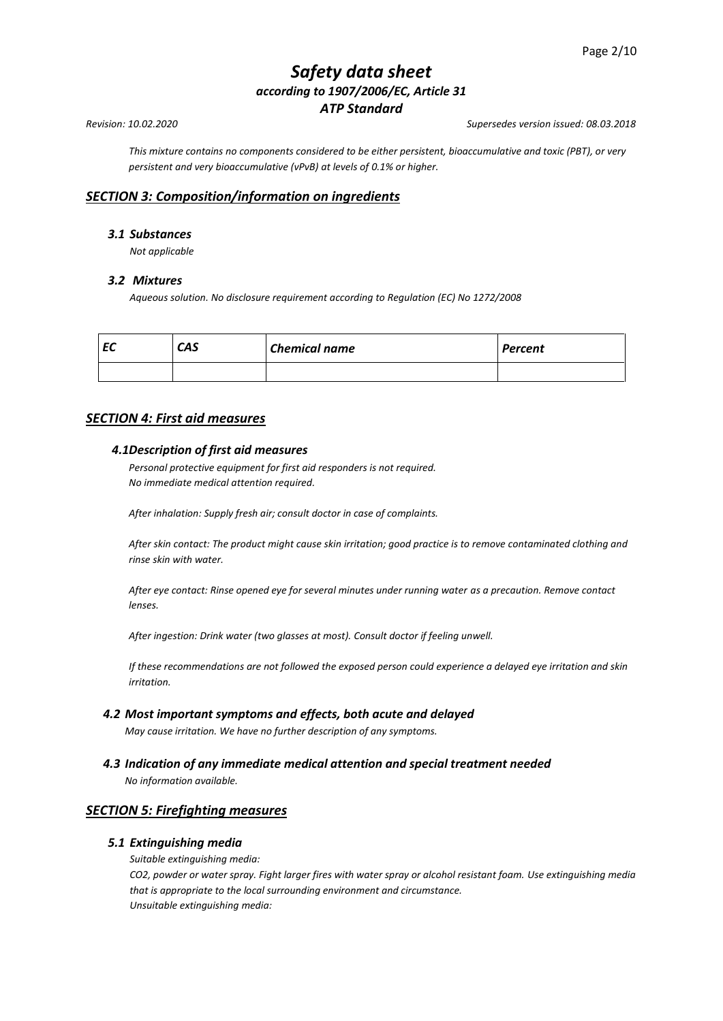*This mixture contains no components considered to be either persistent, bioaccumulative and toxic (PBT), or very persistent and very bioaccumulative (vPvB) at levels of 0.1% or higher.*

## *SECTION 3: Composition/information on ingredients*

## *3.1 Substances*

*Not applicable*

#### *3.2 Mixtures*

*Aqueous solution. No disclosure requirement according to Regulation (EC) No 1272/2008*

| re established and con-<br>cu | CAS | <b>Chemical name</b> | <b>Percent</b> |
|-------------------------------|-----|----------------------|----------------|
|                               |     |                      |                |

## *SECTION 4: First aid measures*

#### *4.1Description of first aid measures*

*Personal protective equipment for first aid responders is not required. No immediate medical attention required.*

*After inhalation: Supply fresh air; consult doctor in case of complaints.*

*After skin contact: The product might cause skin irritation; good practice is to remove contaminated clothing and rinse skin with water.*

*After eye contact: Rinse opened eye for several minutes under running water as a precaution. Remove contact lenses.*

*After ingestion: Drink water (two glasses at most). Consult doctor if feeling unwell.*

*If these recommendations are not followed the exposed person could experience a delayed eye irritation and skin irritation.*

*4.2 Most important symptoms and effects, both acute and delayed*

*May cause irritation. We have no further description of any symptoms.*

*4.3 Indication of any immediate medical attention and special treatment needed*

*No information available.*

## *SECTION 5: Firefighting measures*

#### *5.1 Extinguishing media*

*Suitable extinguishing media:*

*CO2, powder or water spray. Fight larger fires with water spray or alcohol resistant foam. Use extinguishing media that is appropriate to the local surrounding environment and circumstance. Unsuitable extinguishing media:*

*Revision: 10.02.2020 Supersedes version issued: 08.03.2018*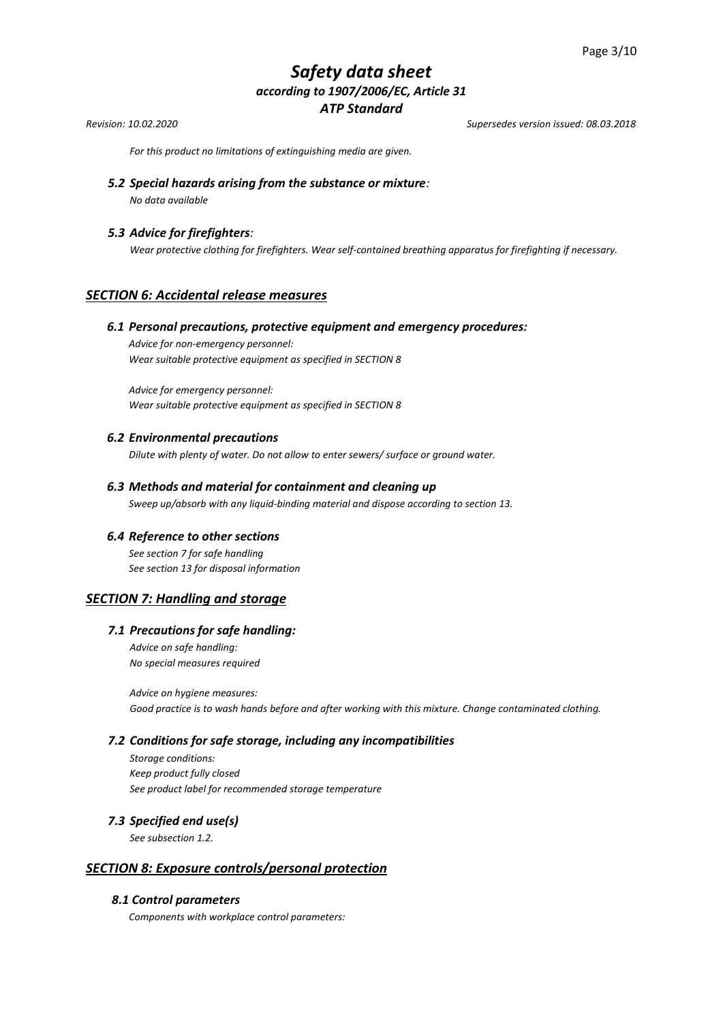*Revision: 10.02.2020 Supersedes version issued: 08.03.2018*

*For this product no limitations of extinguishing media are given.*

*5.2 Special hazards arising from the substance or mixture: No data available*

#### *5.3 Advice for firefighters:*

*Wear protective clothing for firefighters. Wear self-contained breathing apparatus for firefighting if necessary.*

## *SECTION 6: Accidental release measures*

#### *6.1 Personal precautions, protective equipment and emergency procedures:*

*Advice for non-emergency personnel: Wear suitable protective equipment as specified in SECTION 8*

*Advice for emergency personnel: Wear suitable protective equipment as specified in SECTION 8* 

#### *6.2 Environmental precautions*

*Dilute with plenty of water. Do not allow to enter sewers/ surface or ground water.*

#### *6.3 Methods and material for containment and cleaning up*

*Sweep up/absorb with any liquid-binding material and dispose according to section 13.*

#### *6.4 Reference to other sections*

*See section 7 for safe handling See section 13 for disposal information*

#### *SECTION 7: Handling and storage*

## *7.1 Precautions for safe handling:*

*Advice on safe handling: No special measures required*

*Advice on hygiene measures: Good practice is to wash hands before and after working with this mixture. Change contaminated clothing.*

#### *7.2 Conditions for safe storage, including any incompatibilities*

*Storage conditions: Keep product fully closed See product label for recommended storage temperature* 

#### *7.3 Specified end use(s)*

*See subsection 1.2.*

## *SECTION 8: Exposure controls/personal protection*

## *8.1 Control parameters*

*Components with workplace control parameters:*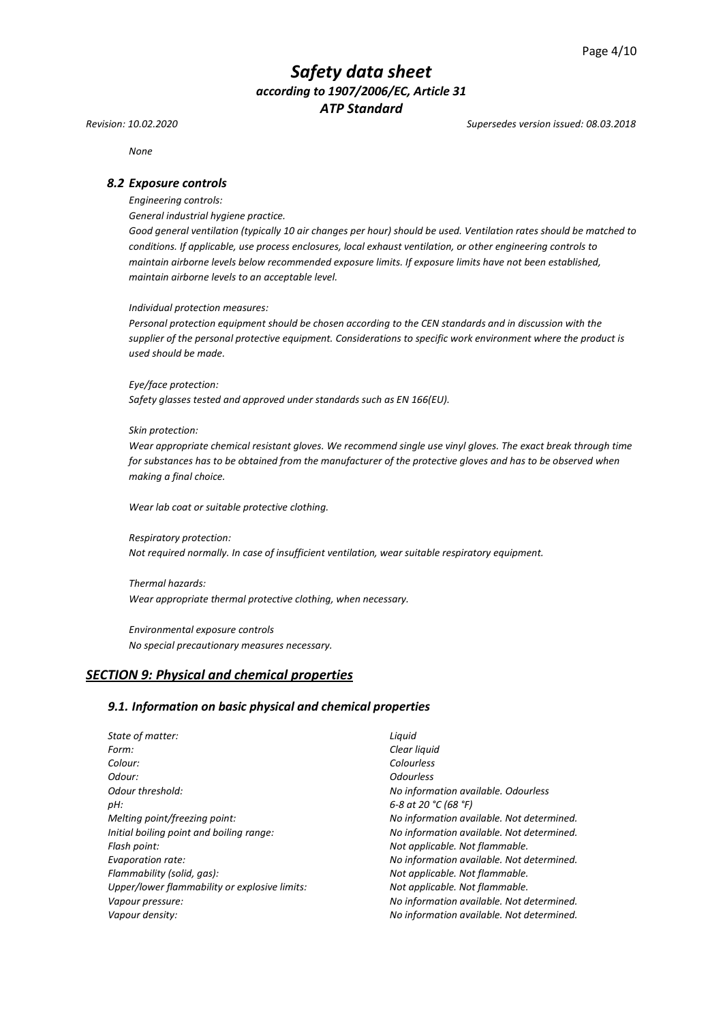*Revision: 10.02.2020 Supersedes version issued: 08.03.2018*

*None*

#### *8.2 Exposure controls*

*Engineering controls:*

*General industrial hygiene practice.*

*Good general ventilation (typically 10 air changes per hour) should be used. Ventilation rates should be matched to conditions. If applicable, use process enclosures, local exhaust ventilation, or other engineering controls to maintain airborne levels below recommended exposure limits. If exposure limits have not been established, maintain airborne levels to an acceptable level.*

*Individual protection measures:*

*Personal protection equipment should be chosen according to the CEN standards and in discussion with the supplier of the personal protective equipment. Considerations to specific work environment where the product is used should be made.*

*Eye/face protection: Safety glasses tested and approved under standards such as EN 166(EU).*

#### *Skin protection:*

*Wear appropriate chemical resistant gloves. We recommend single use vinyl gloves. The exact break through time for substances has to be obtained from the manufacturer of the protective gloves and has to be observed when making a final choice.*

*Wear lab coat or suitable protective clothing.*

*Respiratory protection: Not required normally. In case of insufficient ventilation, wear suitable respiratory equipment.*

*Thermal hazards: Wear appropriate thermal protective clothing, when necessary.*

*Environmental exposure controls No special precautionary measures necessary.*

## *SECTION 9: Physical and chemical properties*

#### *9.1. Information on basic physical and chemical properties*

| State of matter:                              | Liguid                                    |
|-----------------------------------------------|-------------------------------------------|
| Form:                                         | Clear liquid                              |
| Colour:                                       | Colourless                                |
| Odour:                                        | <b>Odourless</b>                          |
| Odour threshold:                              | No information available. Odourless       |
| pH:                                           | 6-8 at 20 °C (68 °F)                      |
| Melting point/freezing point:                 | No information available. Not determined. |
| Initial boiling point and boiling range:      | No information available. Not determined. |
| Flash point:                                  | Not applicable. Not flammable.            |
| Evaporation rate:                             | No information available. Not determined. |
| Flammability (solid, gas):                    | Not applicable. Not flammable.            |
| Upper/lower flammability or explosive limits: | Not applicable. Not flammable.            |
| Vapour pressure:                              | No information available. Not determined. |
| Vapour density:                               | No information available. Not determined. |
|                                               |                                           |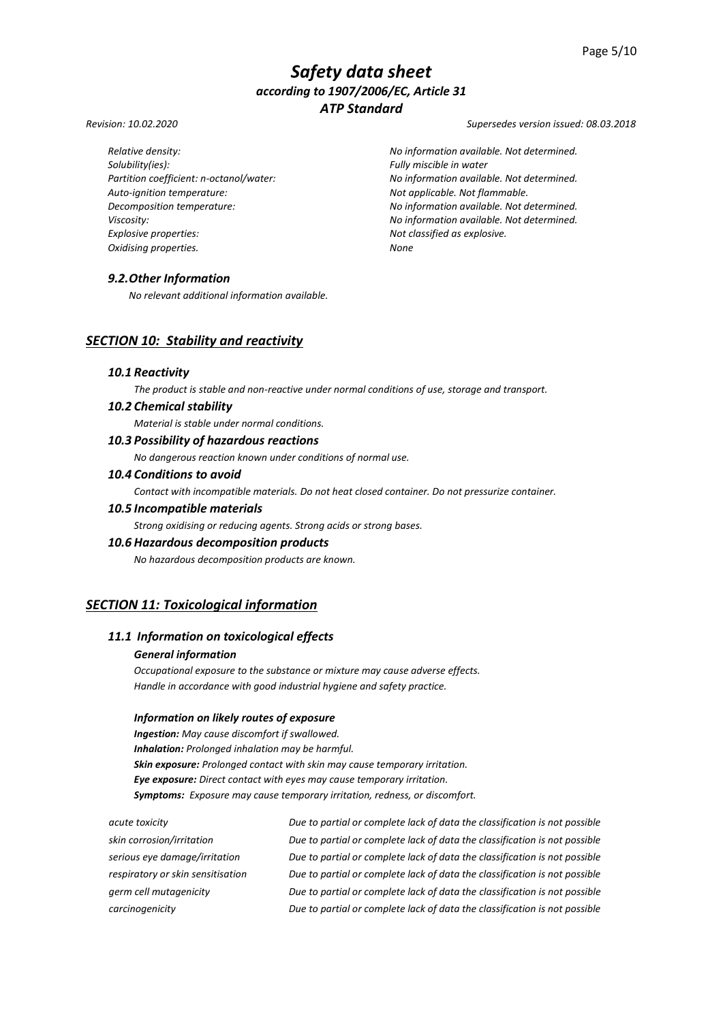*Revision: 10.02.2020 Supersedes version issued: 08.03.2018*

*Solubility(ies): Fully miscible in water Auto-ignition temperature: Not applicable. Not flammable. Explosive properties: Not classified as explosive. Oxidising properties. None*

*Relative density: No information available. Not determined. Partition coefficient: n-octanol/water: No information available. Not determined. Decomposition temperature: No information available. Not determined. Viscosity: No information available. Not determined.*

## *9.2.Other Information*

*No relevant additional information available.*

## *SECTION 10: Stability and reactivity*

#### *10.1 Reactivity*

*The product is stable and non-reactive under normal conditions of use, storage and transport.*

#### *10.2 Chemical stability*

*Material is stable under normal conditions.*

#### *10.3 Possibility of hazardous reactions*

*No dangerous reaction known under conditions of normal use.*

#### *10.4 Conditions to avoid*

*Contact with incompatible materials. Do not heat closed container. Do not pressurize container.*

#### *10.5 Incompatible materials*

*Strong oxidising or reducing agents. Strong acids or strong bases.*

#### *10.6 Hazardous decomposition products*

*No hazardous decomposition products are known.*

## *SECTION 11: Toxicological information*

## *11.1 Information on toxicological effects*

#### *General information*

*Occupational exposure to the substance or mixture may cause adverse effects. Handle in accordance with good industrial hygiene and safety practice.*

#### *Information on likely routes of exposure*

*Ingestion: May cause discomfort if swallowed. Inhalation: Prolonged inhalation may be harmful. Skin exposure: Prolonged contact with skin may cause temporary irritation. Eye exposure: Direct contact with eyes may cause temporary irritation. Symptoms: Exposure may cause temporary irritation, redness, or discomfort.*

*acute toxicity Due to partial or complete lack of data the classification is not possible skin corrosion/irritation Due to partial or complete lack of data the classification is not possible serious eye damage/irritation Due to partial or complete lack of data the classification is not possible respiratory or skin sensitisation Due to partial or complete lack of data the classification is not possible germ cell mutagenicity Due to partial or complete lack of data the classification is not possible carcinogenicity Due to partial or complete lack of data the classification is not possible*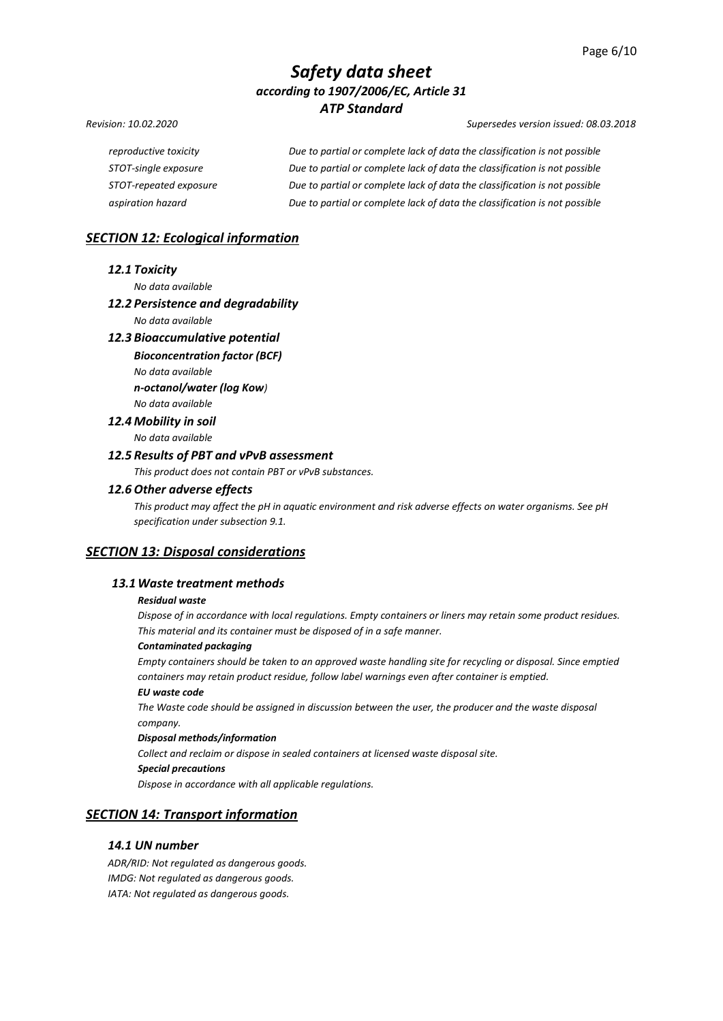#### *Revision: 10.02.2020 Supersedes version issued: 08.03.2018*

| reproductive toxicity  | Due to partial or complete lack of data the classification is not possible |
|------------------------|----------------------------------------------------------------------------|
| STOT-single exposure   | Due to partial or complete lack of data the classification is not possible |
| STOT-repeated exposure | Due to partial or complete lack of data the classification is not possible |
| aspiration hazard      | Due to partial or complete lack of data the classification is not possible |

## *SECTION 12: Ecological information*

#### *12.1 Toxicity*

*No data available* 

## *12.2 Persistence and degradability*

*No data available*

## *12.3 Bioaccumulative potential*

*Bioconcentration factor (BCF) No data available n-octanol/water (log Kow) No data available*

*12.4 Mobility in soil* 

*No data available* 

## *12.5 Results of PBT and vPvB assessment*

*This product does not contain PBT or vPvB substances.*

#### *12.6 Other adverse effects*

*This product may affect the pH in aquatic environment and risk adverse effects on water organisms. See pH specification under subsection 9.1.*

## *SECTION 13: Disposal considerations*

#### *13.1Waste treatment methods*

#### *Residual waste*

*Dispose of in accordance with local regulations. Empty containers or liners may retain some product residues. This material and its container must be disposed of in a safe manner.*

#### *Contaminated packaging*

*Empty containers should be taken to an approved waste handling site for recycling or disposal. Since emptied containers may retain product residue, follow label warnings even after container is emptied.*

#### *EU waste code*

*The Waste code should be assigned in discussion between the user, the producer and the waste disposal company.*

#### *Disposal methods/information*

*Collect and reclaim or dispose in sealed containers at licensed waste disposal site.*

#### *Special precautions*

*Dispose in accordance with all applicable regulations.*

## *SECTION 14: Transport information*

## *14.1 UN number*

*ADR/RID: Not regulated as dangerous goods. IMDG: Not regulated as dangerous goods. IATA: Not regulated as dangerous goods.*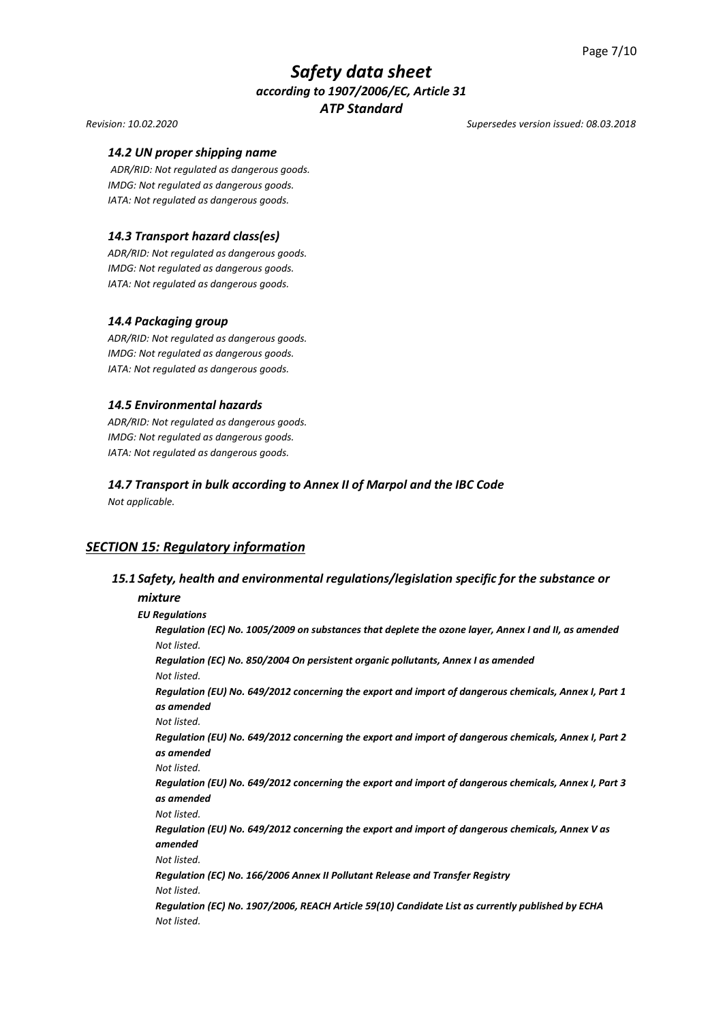#### *Revision: 10.02.2020 Supersedes version issued: 08.03.2018*

#### *14.2 UN proper shipping name*

*ADR/RID: Not regulated as dangerous goods. IMDG: Not regulated as dangerous goods. IATA: Not regulated as dangerous goods.*

#### *14.3 Transport hazard class(es)*

*ADR/RID: Not regulated as dangerous goods. IMDG: Not regulated as dangerous goods. IATA: Not regulated as dangerous goods.*

#### *14.4 Packaging group*

*ADR/RID: Not regulated as dangerous goods. IMDG: Not regulated as dangerous goods. IATA: Not regulated as dangerous goods.*

#### *14.5 Environmental hazards*

*ADR/RID: Not regulated as dangerous goods. IMDG: Not regulated as dangerous goods. IATA: Not regulated as dangerous goods.*

## *14.7 Transport in bulk according to Annex II of Marpol and the IBC Code*

*Not applicable.*

## *SECTION 15: Regulatory information*

## *15.1 Safety, health and environmental regulations/legislation specific for the substance or*

## *mixture EU Regulations*

*Regulation (EC) No. 1005/2009 on substances that deplete the ozone layer, Annex I and II, as amended Not listed. Regulation (EC) No. 850/2004 On persistent organic pollutants, Annex I as amended Not listed. Regulation (EU) No. 649/2012 concerning the export and import of dangerous chemicals, Annex I, Part 1 as amended Not listed. Regulation (EU) No. 649/2012 concerning the export and import of dangerous chemicals, Annex I, Part 2 as amended Not listed. Regulation (EU) No. 649/2012 concerning the export and import of dangerous chemicals, Annex I, Part 3 as amended Not listed. Regulation (EU) No. 649/2012 concerning the export and import of dangerous chemicals, Annex V as amended Not listed. Regulation (EC) No. 166/2006 Annex II Pollutant Release and Transfer Registry Not listed. Regulation (EC) No. 1907/2006, REACH Article 59(10) Candidate List as currently published by ECHA Not listed.*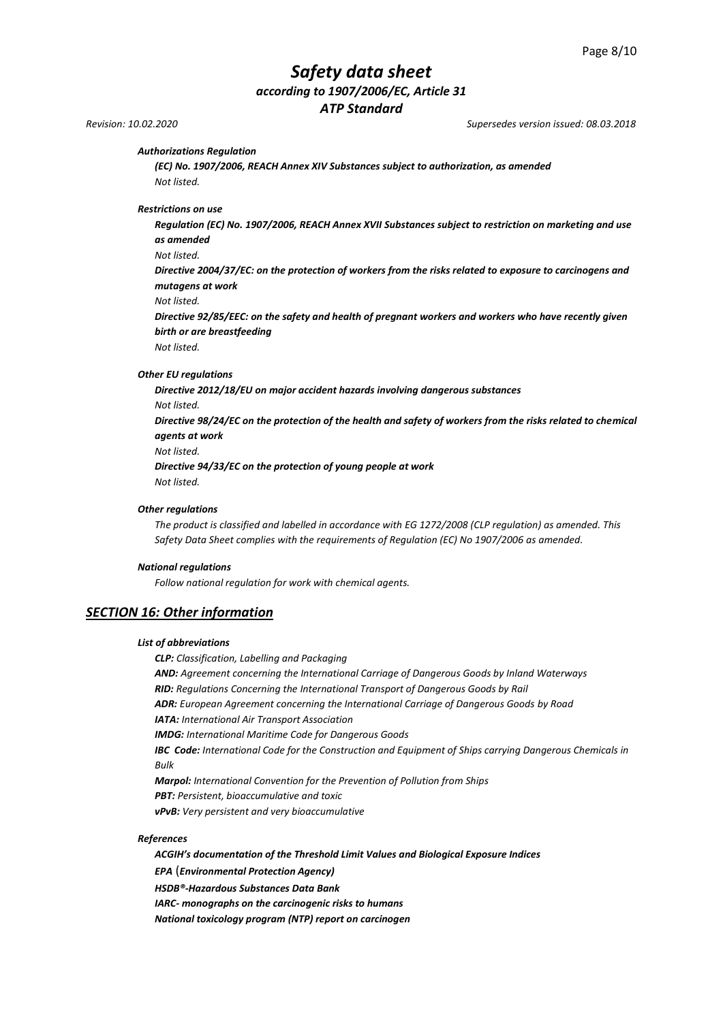# *Safety data sheet according to 1907/2006/EC, Article 31*

*ATP Standard*

*Revision: 10.02.2020 Supersedes version issued: 08.03.2018*

#### *Authorizations Regulation*

*(EC) No. 1907/2006, REACH Annex XIV Substances subject to authorization, as amended Not listed.*

*Restrictions on use* 

*Regulation (EC) No. 1907/2006, REACH Annex XVII Substances subject to restriction on marketing and use as amended*

*Not listed.*

*Directive 2004/37/EC: on the protection of workers from the risks related to exposure to carcinogens and mutagens at work*

```
Not listed.
```
*Directive 92/85/EEC: on the safety and health of pregnant workers and workers who have recently given birth or are breastfeeding*

*Not listed.*

#### *Other EU regulations*

*Directive 2012/18/EU on major accident hazards involving dangerous substances Not listed. Directive 98/24/EC on the protection of the health and safety of workers from the risks related to chemical agents at work Not listed. Directive 94/33/EC on the protection of young people at work Not listed.*

#### *Other regulations*

*The product is classified and labelled in accordance with EG 1272/2008 (CLP regulation) as amended. This Safety Data Sheet complies with the requirements of Regulation (EC) No 1907/2006 as amended.*

#### *National regulations*

*Follow national regulation for work with chemical agents.*

#### *SECTION 16: Other information*

#### *List of abbreviations*

*CLP: Classification, Labelling and Packaging*

*AND: Agreement concerning the International Carriage of Dangerous Goods by Inland Waterways RID: Regulations Concerning the International Transport of Dangerous Goods by Rail ADR: European Agreement concerning the International Carriage of Dangerous Goods by Road IATA: International Air Transport Association*

*IMDG: International Maritime Code for Dangerous Goods*

*IBC Code: International Code for the Construction and Equipment of Ships carrying Dangerous Chemicals in Bulk*

*Marpol: International Convention for the Prevention of Pollution from Ships PBT: Persistent, bioaccumulative and toxic* 

*vPvB: Very persistent and very bioaccumulative*

#### *References*

*ACGIH's documentation of the Threshold Limit Values and Biological Exposure Indices EPA* (*Environmental Protection Agency) HSDB®-Hazardous Substances Data Bank IARC- monographs on the carcinogenic risks to humans National toxicology program (NTP) report on carcinogen*